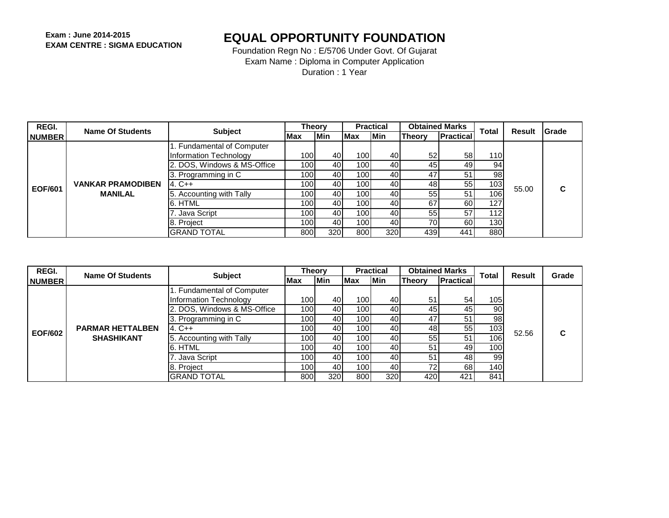| REGI.          | Name Of Students         | <b>Subject</b>              | <b>Theory</b>    |     |            | <b>Practical</b> |        | <b>Obtained Marks</b> | Total            | Result | <b>IGrade</b> |
|----------------|--------------------------|-----------------------------|------------------|-----|------------|------------------|--------|-----------------------|------------------|--------|---------------|
| <b>NUMBER</b>  |                          |                             | Max              | Min | <b>Max</b> | <b>Min</b>       | Theory | <b>Practical</b>      |                  |        |               |
|                |                          | 1. Fundamental of Computer  |                  |     |            |                  |        |                       |                  |        |               |
|                |                          | Information Technology      | 100l             | 40  | 100        | 40               | 52     | 58                    | <b>110</b>       |        |               |
| <b>EOF/601</b> | <b>VANKAR PRAMODIBEN</b> | 2. DOS, Windows & MS-Office | 100 <sup>1</sup> | 40  | 100        | 40               | 45     | 49                    | 94               |        |               |
|                |                          | 3. Programming in C         | 100l             | 40  | 100        | 40               | 47     | 51                    | 98 <sub>1</sub>  |        |               |
|                |                          | $14. C++$                   | 100l             | 40  | 100        | 40               | 48     | 55                    | 103              | 55.00  | С             |
|                | <b>MANILAL</b>           | 5. Accounting with Tally    | 100l             | 40  | 100        | 40               | 55     | 51                    | 106 <sub>1</sub> |        |               |
|                |                          | 6. HTML                     | 100l             | 40  | 100        | 40               | 67     | 60                    | 127              |        |               |
|                |                          | 7. Java Script              | 100l             | 40  | 100        | 40               | 55     | 57                    | 112              |        |               |
|                |                          | 8. Project                  | 100 <sup>1</sup> | 40  | 100        | 40               | 70     | 60                    | 1301             |        |               |
|                |                          | IGRAND TOTAL                | 800              | 320 | 800        | 320              | 439    | 441                   | 880              |        |               |

| REGI.          | Name Of Students                             | <b>Subject</b>              | <b>Theory</b>    |            |                  | <b>Practical</b> | <b>Obtained Marks</b> |                  | <b>Total</b> | <b>Result</b> | Grade |
|----------------|----------------------------------------------|-----------------------------|------------------|------------|------------------|------------------|-----------------------|------------------|--------------|---------------|-------|
| <b>NUMBER</b>  |                                              |                             | Max              | <b>Min</b> | <b>Max</b>       | <b>Min</b>       | Theory                | <b>Practical</b> |              |               |       |
|                |                                              | 1. Fundamental of Computer  |                  |            |                  |                  |                       |                  |              |               |       |
|                |                                              | Information Technology      | 100 <b>1</b>     | 40         | 100 <sub>l</sub> | 40               | 51                    | 54               | 105          |               |       |
| <b>EOF/602</b> | <b>PARMAR HETTALBEN</b><br><b>SHASHIKANT</b> | 2. DOS, Windows & MS-Office | 100 <b>1</b>     | 40         | 100              | 40               | 45                    | 45               | 90           |               |       |
|                |                                              | 3. Programming in C         | 100l             | 40         | 100              | 40               | 47                    | 51               | 98           |               |       |
|                |                                              | $4. C++$                    | 100l             | 40         | 100l             | 40               | 48                    | 55               | 103          | 52.56         | C     |
|                |                                              | 5. Accounting with Tally    | 100l             | 40         | 100 <sub>l</sub> | 40               | 55                    | 51               | 1061         |               |       |
|                |                                              | 6. HTML                     | 100 <sup>1</sup> | 40         | 1001             | 40               | 51                    | 49               | 100          |               |       |
|                |                                              | 7. Java Script              | 100l             | 40         | 100 <sup>1</sup> | 40               | 51                    | 48               | 99           |               |       |
|                |                                              | 8. Project                  | 100l             | 40I        | 1001             | 40               | 72                    | 68               | 140 <b>1</b> |               |       |
|                |                                              | <b>GRAND TOTAL</b>          | 8001             | 320        | 800              | 320              | 420                   | 42 <sup>4</sup>  | 841          |               |       |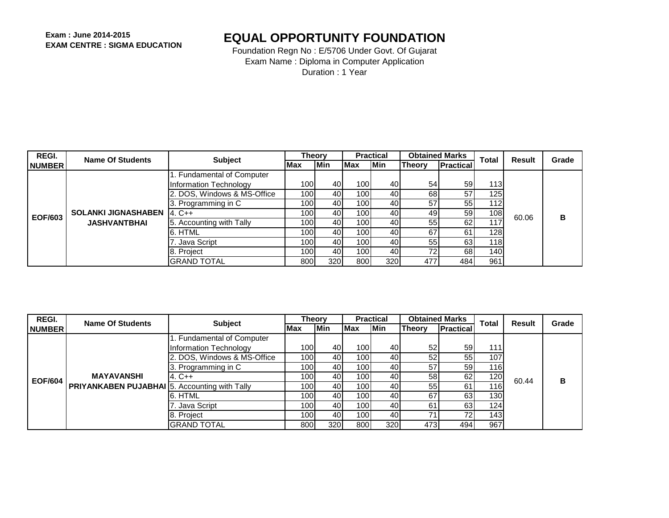| REGI.          | <b>Name Of Students</b>                           | <b>Subject</b>              | <b>Theory</b>    |     |            | <b>Practical</b> | <b>Obtained Marks</b> |                  | <b>Total</b> | Result | Grade |
|----------------|---------------------------------------------------|-----------------------------|------------------|-----|------------|------------------|-----------------------|------------------|--------------|--------|-------|
| <b>NUMBER</b>  |                                                   |                             | Max              | Min | <b>Max</b> | <b>Min</b>       | Theory                | <b>Practical</b> |              |        |       |
|                |                                                   | 1. Fundamental of Computer  |                  |     |            |                  |                       |                  |              |        |       |
|                |                                                   | Information Technology      | 100 <sup>1</sup> | 40  | 1001       | 40               | 54                    | 59               | 113I         |        |       |
|                |                                                   | 2. DOS, Windows & MS-Office | 100              | 40  | 100        | 40               | 68                    | 57               | 125          |        |       |
| <b>EOF/603</b> | <b>SOLANKI JIGNASHABEN</b><br><b>JASHVANTBHAI</b> | 3. Programming in C         | 100l             | 40  | 100        | 40               | 57                    | 55 I             | 112l         |        |       |
|                |                                                   | $4. C++$                    | 100l             | 40  | 100l       | 40               | 49                    | 59 <sub>l</sub>  | 108          | 60.06  | B     |
|                |                                                   | 5. Accounting with Tally    | 100l             | 40  | 100        | 40               | 55                    | 62               |              |        |       |
|                |                                                   | 6. HTML                     | 100l             | 40  | 100        | 40               | 67                    | 61               | 1281         |        |       |
|                |                                                   | Java Script                 | 100l             | 40  | 1001       | 40               | 55                    | 63               | 1181         |        |       |
|                |                                                   | 8. Project                  | 100l             | 40  | 100l       | 40               | 72                    | 68               | 140 I        |        |       |
|                |                                                   | <b>GRAND TOTAL</b>          | 800 l            | 320 | 800        | 320              | 477                   | 484              | 961          |        |       |

| REGI.          | <b>Name Of Students</b>                              | <b>Subject</b>              | <b>Theory</b> |            |            | <b>Practical</b> |        | <b>Obtained Marks</b> | <b>Total</b>     | Result              | Grade |
|----------------|------------------------------------------------------|-----------------------------|---------------|------------|------------|------------------|--------|-----------------------|------------------|---------------------|-------|
| <b>NUMBER</b>  |                                                      |                             | Max           | Min        | <b>Max</b> | <b>Min</b>       | Theorv | Practical             |                  |                     |       |
|                |                                                      | 1. Fundamental of Computer  |               |            |            |                  |        |                       |                  |                     |       |
|                |                                                      | Information Technology      | 100 <b>1</b>  | 40         | 1001       | 40               | 52     | 59                    | 111              |                     |       |
| <b>EOF/604</b> | <b>MAYAVANSHI</b>                                    | 2. DOS, Windows & MS-Office | 100l          | 40         | 100        | 40               | 52     | 55                    | 107              |                     |       |
|                |                                                      | 3. Programming in C         | 100           | 40         | 100        | 40               | 57     | 59                    |                  | 116<br>120<br>60.44 |       |
|                |                                                      | $4. C++$                    | 100l          | 40         | 100        | 40               | 58     | 62                    |                  |                     | в     |
|                | <b>PRIYANKABEN PUJABHAI 5. Accounting with Tally</b> |                             | 100l          | 40         | 100        | 40               | 55     | 61                    | 116.             |                     |       |
|                |                                                      | 6. HTML                     | 100l          | 40         | 100        | 40               | 67     | 63                    | 130 <sub>1</sub> |                     |       |
|                |                                                      | 7. Java Script              | 100l          | 40         | 100        | 40               | 61     | 63                    | 124              |                     |       |
|                |                                                      | 8. Project                  | 100I          | 40         | 100        | 40               |        | 72                    | 143 <sub>1</sub> |                     |       |
|                |                                                      | IGRAND TOTAL                | 8001          | <b>320</b> | 800        | 320              | 473    | 494                   | 967              |                     |       |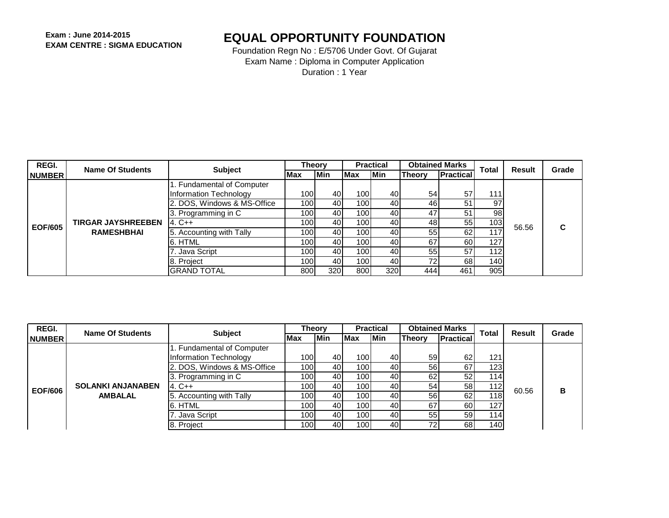| REGI.          | Name Of Students          | <b>Subject</b>              | <b>Theory</b>    |            |                  | <b>Practical</b> | <b>Obtained Marks</b> |                   | <b>Total</b> | Result | Grade |
|----------------|---------------------------|-----------------------------|------------------|------------|------------------|------------------|-----------------------|-------------------|--------------|--------|-------|
| <b>NUMBER</b>  |                           |                             | Max              | <b>Min</b> | Max              | lMin.            | <b>Theory</b>         | <b>IPractical</b> |              |        |       |
|                |                           | I. Fundamental of Computer  |                  |            |                  |                  |                       |                   |              |        |       |
|                |                           | Information Technology      | 100 <b>1</b>     | 40         | 100              | 40               | 54                    | 57                | 111          |        |       |
| <b>EOF/605</b> | <b>TIRGAR JAYSHREEBEN</b> | 2. DOS, Windows & MS-Office | 100              | 40         | 100              | 40               | 46                    | 51                | 97           |        |       |
|                |                           | 3. Programming in C         | 100 <sup>1</sup> | 40         | 100              | 40               | 47                    | 51                | 98           |        |       |
|                |                           | $4. C++$                    | 100 <sup>1</sup> | 40         | 100 <sub>l</sub> | 40               | 48                    | 55                | 103          | 56.56  | С     |
|                | <b>RAMESHBHAI</b>         | 5. Accounting with Tally    | 100 <sup>1</sup> | 40         | 100 <sup>1</sup> | 40               | 55                    | 62                | 117          |        |       |
|                |                           | 6. HTML                     | 100 <b>1</b>     | 40         | 100              | 40               | 67                    | 60                | 127          |        |       |
|                |                           | 7. Java Script              | 100 <b>1</b>     | 40         | 100              | 40               | 55                    | 57                | 112l         |        |       |
|                |                           | 8. Project                  | 100 <b>1</b>     | 40         | 100 <sub>l</sub> | 40               | 72                    | 68                | 140 <b>1</b> |        |       |
|                |                           | <b>GRAND TOTAL</b>          | 8001             | <b>320</b> | 800              | 320I             | 444                   | 461               | 905          |        |       |

| REGI.          | Name Of Students                           | <b>Subject</b>              | <b>Theory</b>    |            |                  | <b>Practical</b> |        | <b>Obtained Marks</b> | <b>Total</b>     | Result | Grade |
|----------------|--------------------------------------------|-----------------------------|------------------|------------|------------------|------------------|--------|-----------------------|------------------|--------|-------|
| <b>NUMBER</b>  |                                            |                             | <b>IMax</b>      | <b>Min</b> | <b>Max</b>       | <b>Min</b>       | Theorv | <b>IPractical</b>     |                  |        |       |
|                |                                            | 1. Fundamental of Computer  |                  |            |                  |                  |        |                       |                  |        |       |
|                |                                            | Information Technology      | 100 <sub>l</sub> | 40         | 100 <sub>l</sub> | 40               | 59     | 62                    | 121              |        |       |
| <b>EOF/606</b> |                                            | 2. DOS, Windows & MS-Office | 100l             | 40         | 100              | 40               | 56     | 67                    | 123              | 60.56  |       |
|                | <b>SOLANKI ANJANABEN</b><br><b>AMBALAL</b> | 3. Programming in C         | 100l             | 40         | 100 <sub>1</sub> | 40               | 62     | 52                    | 114              |        |       |
|                |                                            | $4. C++$                    | 100 <sup>1</sup> | 40         | 100 <sub>1</sub> | 40               | 54     | 58                    | 112              |        | в     |
|                |                                            | . Accounting with Tally     | 100l             | 40         | 100 <sub>1</sub> | 40               | 56     | 62                    | 118              |        |       |
|                |                                            | 6. HTML                     | 100l             | 40         | 100              | 40               | 67     | 60                    | 127 <sub>1</sub> |        |       |
|                |                                            | 7. Java Script              | 100 <sup>1</sup> | 40         | 100 <sub>l</sub> | 40               | 55     | 59 <sub>l</sub>       | 114              |        |       |
|                |                                            | 8. Project                  | 100l             | 40         | 100.             | 40               | 72     | 68                    | 140              |        |       |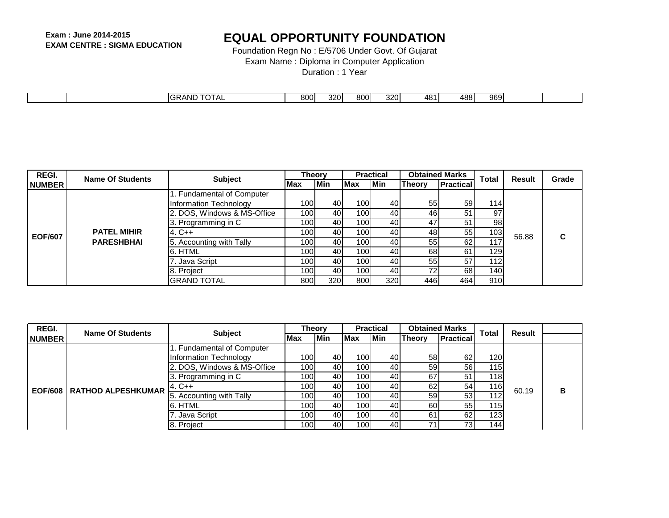Foundation Regn No : E/5706 Under Govt. Of Gujarat

Exam Name : Diploma in Computer Application

Duration : 1 Year

|  | ن ۱۳۸۳ GRAND $\mathsf{P}\mathsf{C}^{\mathsf{r},\mathsf{r}}$<br>╷┍┖ | 800l | 320I | 800 l | 320 | $\Delta R^4$<br>TU 1 | ABR<br>וטט | aro<br>ັບບະ |  |
|--|--------------------------------------------------------------------|------|------|-------|-----|----------------------|------------|-------------|--|

| REGI.          | <b>Name Of Students</b> | <b>Subject</b>              | Theorv           |            |                  | <b>Practical</b> | <b>Obtained Marks</b> |                  | <b>Total</b> | Result | Grade |
|----------------|-------------------------|-----------------------------|------------------|------------|------------------|------------------|-----------------------|------------------|--------------|--------|-------|
| <b>NUMBER</b>  |                         |                             | <b>Max</b>       | <b>Min</b> | Max              | <b>Min</b>       | Theory                | <b>Practical</b> |              |        |       |
|                |                         | 1. Fundamental of Computer  |                  |            |                  |                  |                       |                  |              |        |       |
|                |                         | Information Technology      | 100 <b>1</b>     | 40         | 100              | 40               | 55                    | 59               | 114          |        |       |
|                |                         | 2. DOS, Windows & MS-Office | 100 <sup>1</sup> | 40         | 100l             | 40               | 46                    | 51               | 97           |        |       |
| <b>EOF/607</b> |                         | 3. Programming in C         | 100 <b>1</b>     | 40         | 100 <sup>1</sup> | 40               | 47                    | 51               | 98           |        |       |
|                | <b>PATEL MIHIR</b>      | $4. C++$                    | 100l             | 40         | 100 I            | 40               | 48                    | 55               | 103          | 56.88  | С     |
|                | <b>PARESHBHAI</b>       | 5. Accounting with Tally    | 100l             | 40         | 100 I            | 40               | 55                    | 62               | 117          |        |       |
|                |                         | 6. HTML                     | 100l             | 40         | 100I             | 40               | 68                    | 61               | 1291         |        |       |
|                |                         | 7. Java Script              | 100l             | 40         | 100I             | 40               | 55                    | 57               | 112I         |        |       |
|                |                         | 8. Project                  | 100l             | 40         | 100l             | 40               | 72                    | 68               | 140          |        |       |
|                |                         | <b>GRAND TOTAL</b>          | 800              | 320I       | 800              | 320              | 446                   | 464              | 910          |        |       |

| REGI.         | Name Of Students             | <b>Subject</b>              | <b>Theory</b>    |            |            | <b>Practical</b> |               | <b>Obtained Marks</b> | <b>Total</b>     | Result |   |
|---------------|------------------------------|-----------------------------|------------------|------------|------------|------------------|---------------|-----------------------|------------------|--------|---|
| <b>NUMBER</b> |                              |                             | <b>Max</b>       | <b>Min</b> | <b>Max</b> | <b>Min</b>       | <b>Theory</b> | <b>Practical</b>      |                  |        |   |
|               |                              | 1. Fundamental of Computer  |                  |            |            |                  |               |                       |                  |        |   |
|               |                              | Information Technology      | 100l             | 40         | 100        | 40               | 58            | 62                    | 120              |        |   |
|               | EOF/608   RATHOD ALPESHKUMAR | 2. DOS, Windows & MS-Office | 100l             | 40         | 100        | 40               | 59            | 56                    | 115              | 60.19  |   |
|               |                              | 3. Programming in C         | 100l             | 40         | 100        | 40               | 67            | 51                    | 118 <sub>1</sub> |        |   |
|               |                              | $4. C++$                    | 100l             | 40         | 100        | 40               | 62            | 54                    | 116              |        | в |
|               |                              | 5. Accounting with Tally    | 100l             | 40         | 100        | 40               | 59            | 53                    | 112              |        |   |
|               |                              | 6. HTML                     | 100l             | 40         | 100        | 40               | 60            | 55                    | 115              |        |   |
|               |                              | 7. Java Script              | 100 <sup>1</sup> | 40         | 100        | 40               | 61            | 62                    | 123 <sub>1</sub> |        |   |
|               |                              | 8. Project                  | 100l             | 40         | 100        | 40               | 74            | 73.                   | 144              |        |   |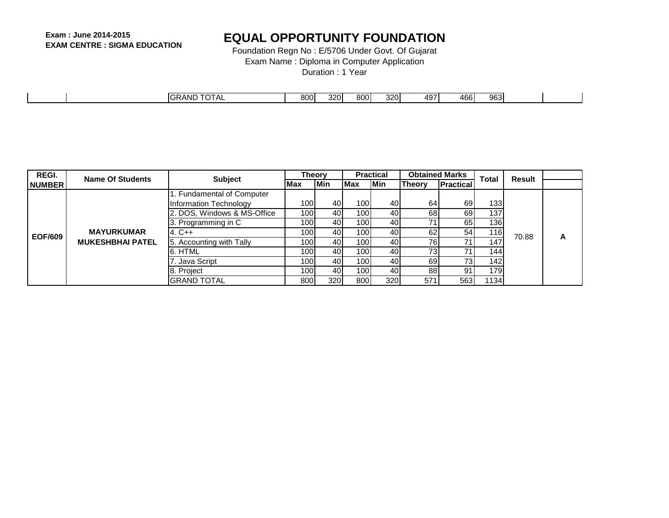Foundation Regn No : E/5706 Under Govt. Of Gujarat

Exam Name : Diploma in Computer Application

Duration : 1 Year

| <b>TOTAL</b><br>o∩∩l<br>320I<br>$\sim$<br>320<br>AB6<br><b>IGRAND</b><br>$0^{\circ}$<br>്രഭ $\sim$<br>$A$ u<br>JUU –<br>ouu<br>י טט+<br>−.<br>ັບບ |  |  |  |  |  |  |
|---------------------------------------------------------------------------------------------------------------------------------------------------|--|--|--|--|--|--|
|                                                                                                                                                   |  |  |  |  |  |  |

| REGI.          | <b>Name Of Students</b> | <b>Subject</b>              | Theorv           |            |              | <b>Practical</b> | <b>Obtained Marks</b> |                  | <b>Total</b>     | Result |   |
|----------------|-------------------------|-----------------------------|------------------|------------|--------------|------------------|-----------------------|------------------|------------------|--------|---|
| <b>NUMBER</b>  |                         |                             | Max              | <b>Min</b> | <b>Max</b>   | <b>IMin</b>      | <b>Theory</b>         | <b>Practical</b> |                  |        |   |
|                |                         | 1. Fundamental of Computer  |                  |            |              |                  |                       |                  |                  |        |   |
|                |                         | Information Technology      | 100 <sup>1</sup> | 40         | 100 <b>1</b> | 40               | 64                    | 69               | 133 I            |        |   |
|                |                         | 2. DOS, Windows & MS-Office | 100              | 40         | 1001         | 40               | 68                    | 69               | 137 <sup>1</sup> |        |   |
| <b>EOF/609</b> |                         | 3. Programming in C         | 100              | 40         | 100          | 40               | 71                    | 65               | 136              |        |   |
|                | <b>MAYURKUMAR</b>       | $4. C++$                    | 100              | 40         | 100          | 40               | 62                    | 54               | 1161             | 70.88  | Α |
|                | <b>MUKESHBHAI PATEL</b> | 5. Accounting with Tally    | 100 <b>1</b>     | 40         | 100          | 40               | 76                    | 71               | 147              |        |   |
|                |                         | 6. HTML                     | 100              | 40         | 100          | 40               | 73                    | 71               | 1441             |        |   |
|                |                         | . Java Script               | 100              | 40         | 100          | 40               | 69                    | 73 <sub>l</sub>  | 142              |        |   |
|                |                         | 8. Project                  | 100              | 40         | 100 l        | 40               | 88                    | 91               | 179I             |        |   |
|                |                         | <b>GRAND TOTAL</b>          | 800              | 320        | 800          | 320              | 571                   | 563              | 1134             |        |   |